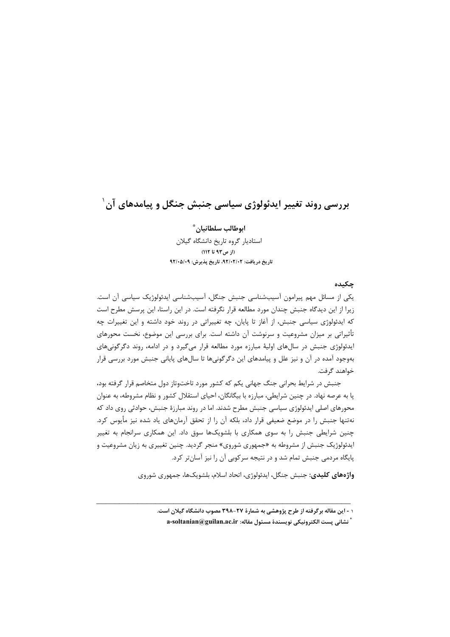# بررسی روند تغییر ایدئولوژی سیاسی جنبش جنگل و پیامدهای آن ٔ

ابوطالب سلطانيان\* استادیار گروه تاریخ دانشگاه گیلان (از ص۹۳ تا ۱۱۲) تاريخ دريافت: ٩٢/٠٢/٠٢، تاريخ پذيرش: ٩٢/٠٥/٠٩

#### چکىدە

یکی از مسائل مهم پیرامون آسیبشناسی جنبش جنگل، آسیبشناسی ایدئولوژیک سیاسی آن است. زیرا از این دیدگاه جنبش چندان مورد مطالعه قرار نگرفته است. در این راستا، این پرسش مطرح است که ایدئولوژی سیاسی جنبش، از آغاز تا پایان، چه تغییراتی در روند خود داشته و این تغییرات چه تأثیراتی بر میزان مشروعیت و سرنوشت آن داشته است. برای بررسی این موضوع، نخست محورهای ایدئولوژی جنبش در سالهای اولیهٔ مبارزه مورد مطالعه قرار میگیرد و در ادامه، روند دگرگونیهای بهوجود آمده در آن و نیز علل و پیامدهای این دگرگونیها تا سالهای پایانی جنبش مورد بررسی قرار خواهند گرفت.

جنبش در شرایط بحرانی جنگ جهانی یکم که کشور مورد تاختوتاز دول متخاصم قرار گرفته بود، پا به عرصه نهاد. در چنین شرایطی، مبارزه با بیگانگان، احیای استقلال کشور و نظام مشروطه، به عنوان محورهای اصلی ایدئولوژی سیاسی جنبش مطرح شدند. اما در روند مبارزهٔ جنبش، حوادثی روی داد که نهتنها جنبش را در موضع ضعیفی قرار داد، بلکه آن را از تحقق آرمانهای یاد شده نیز مأیوس کرد. چنین شرایطی جنبش را به سوی همکاری با بلشویکها سوق داد. این همکاری سرانجام به تغییر ایدئولوژیک جنبش از مشروطه به «جمهوری شوروی» منجر گردید. چنین تغییری به زیان مشروعیت و پایگاه مردمی جنبش تمام شد و در نتیجه سرکوبی آن را نیز آسانتر کرد.

**واژههای کلیدی:** جنبش جنگل، ایدئولوژی، اتحاد اسلام، بلشویکها، جمهوری شوروی

۱ - این مقاله برگرفته از طرح پژوهشی به شمارهٔ ۲۷-۳۹۸ مصوب دانشگاه گیلان است.

<sup>ً</sup> نشاني پست الكترونيكي نويسندهٔ مسئول مقاله: a-soltanian@guilan.ac.ir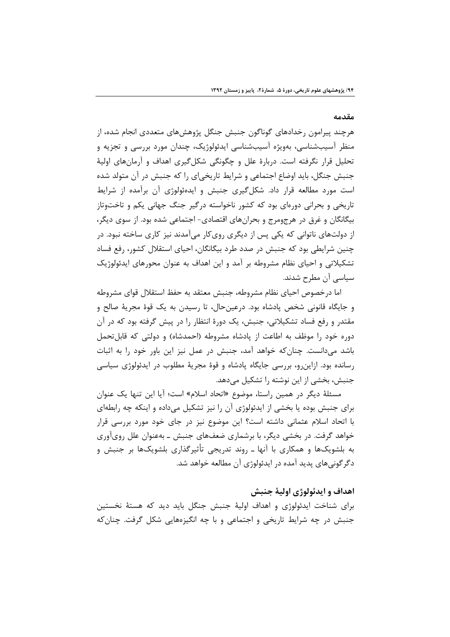#### مقدمه

هرچند پیرامون رخدادهای گوناگون جنبش جنگل پژوهشهای متعددی انجام شده، از منظر آسیبشناسی، بهویژه آسیبشناسی ایدئولوژیک، چندان مورد بررسی و تجزیه و تحلیل قرار نگرفته است. دربارهٔ علل و چگونگی شکل گیری اهداف و آرمانهای اولیهٔ جنبش جنگل، باید اوضاع اجتماعی و شرایط تاریخی|ی را که جنبش در آن متولد شده است مورد مطالعه قرار داد. شکل گیری جنبش و ایدهئولوژی آن برآمده از شرایط تاریخی و بحرانی دورهای بود که کشور ناخواسته درگیر جنگ جهانی یکم و تاختوتاز بیگانگان و غرق در هرجومرج و بحرانهای اقتصادی- اجتماعی شده بود. از سوی دیگر، از دولتهای ناتوانی که یکی پس از دیگری رویکار میآمدند نیز کاری ساخته نبود. در چنین شرایطی بود که جنبش در صدد طرد بیگانگان، احیای استقلال کشور، رفع فساد تشکیلاتی و احیای نظام مشروطه بر آمد و این اهداف به عنوان محورهای ایدئولوژیک سیاسی آن مطرح شدند.

اما درخصوص احیای نظام مشروطه، جنبش معتقد به حفظ استقلال قوای مشروطه و جايگاه قانوني شخص پادشاه بود. درعينحال، تا رسيدن به يک قوهٔ مجريهٔ صالح و مقتدر و رفع فساد تشکیلاتی، جنبش، یک دورهٔ انتظار را در پیش گرفته بود که در آن دوره خود را موظف به اطاعت از یادشاه مشروطه (احمدشاه) و دولتی که قابل تحمل باشد میدانست. چنان که خواهد آمد، جنبش در عمل نیز این باور خود را به اثبات رسانده بود. ازاین٫و، بررسی جایگاه پادشاه و قوهٔ مجریهٔ مطلوب در ایدئولوژی سیاسی جنبش، بخشی از این نوشته را تشکیل میدهد.

مسئلهٔ دیگر در همین راستا، موضوع «اتحاد اسلام» است؛ آیا این تنها یک عنوان برای جنبش بوده یا بخشی از ایدئولوژی آن را نیز تشکیل میداده و اینکه چه رابطهای با اتحاد اسلام عثمانی داشته است؟ این موضوع نیز در جای خود مورد بررسی قرار خواهد گرفت. در بخشی دیگر، با برشماری ضعفهای جنبش ـ بهعنوان علل رویآوری به بلشویکها و همکاری با آنها ـ روند تدریجی تأثیرگذاری بلشویکها بر جنبش و دگر گونی های پدید آمده در ایدئولوژی آن مطالعه خواهد شد.

## اهداف و ايدئولوژي اوليۀ جنبش

برای شناخت ایدئولوژی و اهداف اولیهٔ جنبش جنگل باید دید که هستهٔ نخستین جنبش در چه شرایط تاریخی و اجتماعی و با چه انگیزههایی شکل گرفت. چنان که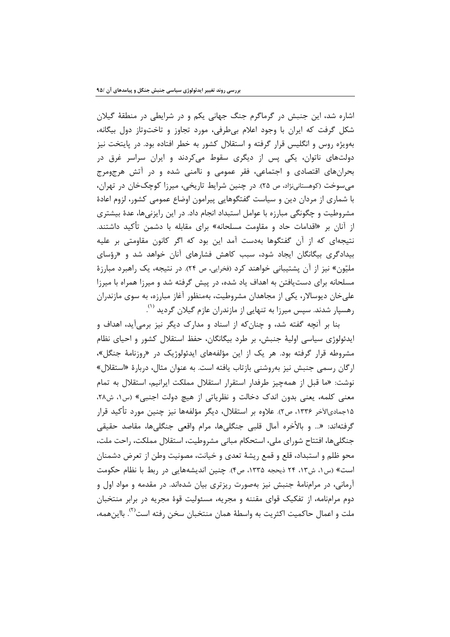اشاره شد، این جنبش در گرماگرم جنگ جهانی یکم و در شرایطی در منطقهٔ گیلان شکل گرفت که ایران با وجود اعلام بی طرفی، مورد تجاوز و تاختوتاز دول بیگانه، بهویژه روس و انگلیس قرار گرفته و استقلال کشور به خطر افتاده بود. در پایتخت نیز دولتهای ناتوان، یکی پس از دیگری سقوط میکردند و ایران سراسر غرق در بحرانهای اقتصادی و اجتماعی، فقر عمومی و ناامنی شده و در آتش هرجومرج میسوخت (کوهستانینژاد، ص ۲۵). در چنین شرایط تاریخی، میرزا کوچکخان در تهران، با شماری از مردان دین و سیاست گفتگوهایی پیرامون اوضاع عمومی کشور، لزوم اعادهٔ مشروطیت و چگونگی مبارزه با عوامل استبداد انجام داد. در این رایزنیها، عدهٔ بیشتری از آنان بر «اقدامات حاد و مقاومت مسلحانه» برای مقابله با دشمن تأکید داشتند. نتیجهای که از آن گفتگوها بهدست آمد این بود که اگر کانون مقاومتی بر علیه بیدادگری بیگانگان ایجاد شود، سبب کاهش فشارهای آنان خواهد شد و «رؤسای ملیّون» نیز از آن پشتیبانی خواهند کرد (فخرایی، ص ۲۴). در نتیجه، یک راهبرد مبارزهٔ مسلحانه برای دستیافتن به اهداف یاد شده، در پیش گرفته شد و میرزا همراه با میرزا علی خان دیوسالار، یکی از مجاهدان مشروطیت، بهمنظور آغاز مبارزه، به سوی مازندران رهسیار شدند. سیس میرزا به تنهایی از مازندران عازم گیلان گردید <sup>(۱)</sup>.

بنا بر آنچه گفته شد، و چنان که از اسناد و مدارک دیگر نیز برمیآید، اهداف و ایدئولوژی سیاسی اولیهٔ جنبش، بر طرد بیگانگان، حفظ استقلال کشور و احیای نظام مشروطه قرار گرفته بود. هر یک از این مؤلفههای ایدئولوژیک در «روزنامهٔ جنگل»، ارگان رسمی جنبش نیز بهروشنی بازتاب یافته است. به عنوان مثال، دربارهٔ «استقلال» نوشت: «ما قبل از همهچیز طرفدار استقرار استقلال مملکت ایرانیم، استقلال به تمام معنی کلمه، یعنی بدون اندک دخالت و نظریاتی از هیچ دولت اجنبی» (س۱، ش۲۸، ۱۵جمادیالآخر ۱۳۳۶، ص۲). علاوه بر استقلال، دیگر مؤلفهها نیز چنین مورد تأکید قرار گرفته|ند: «... و بالأخره آمال قلبي جنگليها، مرام واقعي جنگليها، مقاصد حقيقي جنگلی ها، افتتاح شورای ملی، استحکام مبانی مشروطیت، استقلال مملکت، راحت ملت، محو ظلم و استبداد، قلع و قمع ريشهٔ تعدي و خيانت، مصونيت وطن از تعرض دشمنان است» (س ١، ش١٣، ٢۴ ذيحجه ١٣٣۵، ص۴). چنين انديشههايي در ربط با نظام حكومت آرمانی، در مرامنامهٔ جنبش نیز بهصورت ریزتری بیان شدهاند. در مقدمه و مواد اول و دوم مرامنامه، از تفکیک قوای مقننه و مجریه، مسئولیت قوهٔ مجریه در برابر منتخبان ملت و اعمال حاکمیت اکثریت به واسطهٔ همان منتخبان سخن رفته است<sup>(۱)</sup>. بااینهمه،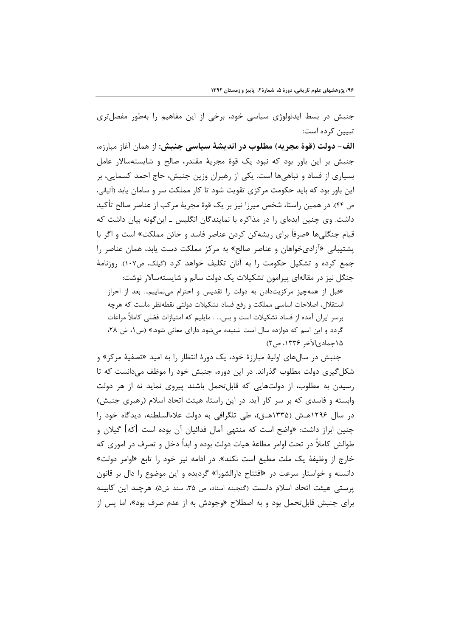جنبش در بسط ایدئولوژی سیاسی خود، برخی از این مفاهیم را بهطور مفصلتری تبیین کرده است:

الف- دولت (قوة مجريه) مطلوب در انديشة سياسي جنبش: از همان آغاز مبارزه، جنبش بر این باور بود که نبود یک قوهٔ مجریهٔ مقتدر، صالح و شایستهسالار عامل بسیاری از فساد و تباهیها است. یکی از رهبران وزین جنبش، حاج احمد کسمایی، بر این باور بود که باید حکومت مرکزی تقویت شود تا کار مملکت سر و سامان یابد (آلیانی، ص ۴۴). در همین راستا، شخص میرزا نیز بر یک قوهٔ مجریهٔ مرکب از عناصر صالح تأکید داشت. وی چنین ایدهای را در مذاکره با نمایندگان انگلیس ـ این گونه بیان داشت که قیام جنگل<sub>ی</sub>ها «صرفاً برای ریشهکن کردن عناصر فاسد و خائن مملکت» است و اگر با پشتیبانی «آزادیخواهان و عناصر صالح» به مرکز مملکت دست یابد، همان عناصر را جمع کرده و تشکیل حکومت ۱٫ به آنان تکلیف خواهد کرد (گیلک، ص۱۰۷). روزنامهٔ جنگل نیز در مقالهای پیرامون تشکیلات یک دولت سالم و شایستهسالار نوشت:

«قبل از همهچیز مرکزیتدادن به دولت را تقدیس و احترام مینماییم… بعد از احراز استقلال، اصلاحات اساسی مملکت و رفع فساد تشکیلات دولتی نقطهنظر ماست که هرچه برسر ایران آمده از فساد تشکیلات است و بس… . مایلیم که امتیازات فضلی کاملاً مراعات گردد و این اسم که دوازده سال است شنیده میشود دارای معانی شود.» (س ۱، ش ۲۸، ۱۵جمادیالآخر ۱۳۳۶، ص۲)

جنبش در سالهای اولیهٔ مبارزهٔ خود، یک دورهٔ انتظار را به امید «تصفیهٔ مرکز» و شکل گیری دولت مطلوب گذراند. در این دوره، جنبش خود را موظف میدانست که تا رسیدن به مطلوب، از دولتهایی که قابلتحمل باشند پیروی نماید نه از هر دولت وابسته و فاسدی که بر سر کار آید. در این راستا، هیئت اتحاد اسلام (رهبری جنبش) در سال ۱۲۹۶هـش (۱۳۳۵هـق)، طي تلگرافي به دولت علاءالسلطنه، ديدگاه خود را چنین ابراز داشت: «واضح است که منتهی آمال فدائیان آن بوده است [که] گیلان و طوالش کاملاً در تحت اوامر مطاعهٔ هیات دولت بوده و ابداً دخل و تصرف در اموری که خارج از وظیفهٔ یک ملت مطیع است نکند». در ادامه نیز خود را تابع «اوامر دولت» دانسته و خواستار سرعت در «افتتاح دارالشورا» گردیده و این موضوع را دال بر قانون پرستی هیئت اتحاد اسلام دانست (گنجینه اسناد، ص ۳۵، سند ش۵). هرچند این کابینه براي جنبش قابل تحمل بود و به اصطلاح «وجودش به از عدم صرف بود»، اما پس از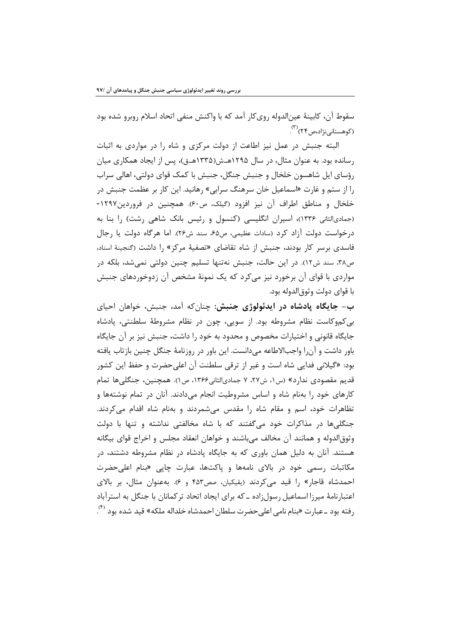سقوط آن، كابينهٔ عينالدوله رويكار آمد كه با واكنش منفي اتحاد اسلام روبرو شده بود (کوهستانی،نژاد،ص۲۴)<sup>(۳)</sup> .

البته جنبش در عمل نیز اطاعت از دولت مرکزی و شاه را در مواردی به اثبات رسانده بود. به عنوان مثال، در سال ۱۲۹۵هـش(۱۳۳۵هـق)، پس از ایجاد همکاری میان رؤسای ایل شاهسون خلخال و جنبش جنگل، جنبش با کمک قوای دولتی، اهالی سراب را از ستم و غارت «اسماعیل خان سرهنگ سرابی» رهانید. این کار بر عظمت جنبش در خلخال و مناطق اطراف آن نیز افزود (گیلک، ص۶۰). همچنین در فروردین۱۲۹۷-(جمادیالثانی ۱۳۳۶)، اسیران انگلیسی (کنسول و رئیس بانک شاهی رشت) را بنا به درخواست دولت آزاد کرد (سادات عظیمی، ص۶۵، سند ش۲۶). اما هرگاه دولت یا رجال فاسدی برسر کار بودند، جنبش از شاه تقاضای «تصفیهٔ مرکز» را داشت (گنجینهٔ اسناد، ص٣٨، سند ش١٢). در اين حالت، جنبش نهتنها تسليم چنين دولتي نمي شد، بلكه در مواردی با قوای آن برخورد نیز مے کرد که یک نمونهٔ مشخص آن زدوخوردهای جنبش با قواي دولت وثوق|لدوله بود.

ب- جايگاه پادشاه در ايدئولوژي جنبش: چنانکه آمد، جنبش، خواهان احياي بی کموکاست نظام مشروطه بود. از سویی، چون در نظام مشروطهٔ سلطنتی، پادشاه جايگاه قانوني و اختيارات مخصوص و محدود به خود را داشت، جنبش نيز بر آن جايگاه باور داشت و آنرا واجبالاطاعه میدانست. این باور در روزنامهٔ جنگل چنین بازتاب یافته بود: «گیلانی فدایی شاه است و غیر از ترقی سلطنت آن اعلی حضرت و حفظ این کشور قديم مقصودي ندارد» (س١، ش٢٧، ٧ جماديالثاني۱۳۶۶، ص١). همچنين، جنگليها تمام کارهای خود را بهنام شاه و اساس مشروطیت انجام میدادند. آنان در تمام نوشتهها و تظاهرات خود، اسم و مقام شاه را مقدس می شمردند و بهنام شاه اقدام می کردند. جنگلیها در مذاکرات خود میگفتند که با شاه مخالفتی نداشته و تنها با دولت وثوق|لدوله و همانند آن مخالف میباشند و خواهان انعقاد مجلس و اخراج قوای بیگانه هستند. آنان به دلیل همان باوری که به جایگاه یادشاه در نظام مشروطه دشتند، در مکاتبات رسمی خود در بالای نامهها و پاکتها، عبارت چایی «بنام اعلی حضرت احمدشاه قاجار» را قيد مي كردند (يقيكيان، صص۴۵۳ و ۶). به عنوان مثال، بر بالاي اعتبارنامهٔ میرزا اسماعیل رسول;اده ــ که برای ایجاد اتحاد تر کمانان با جنگل به استرآباد ,فته بود ـ عبارت «بنام نامي اعلى حضرت سلطان احمدشاه خلداله ملكه» قيد شده بود <sup>(٢)</sup>.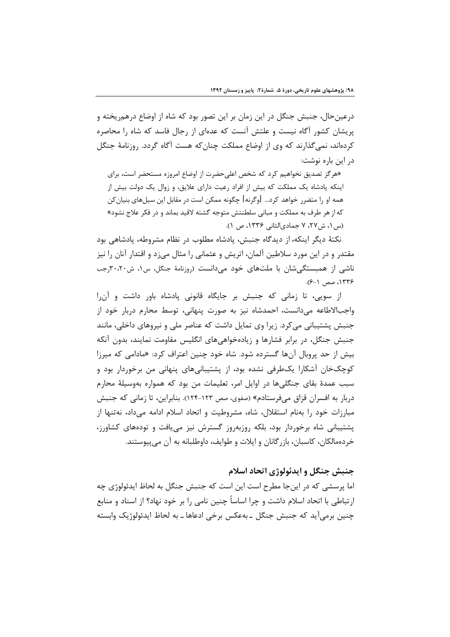درعینحال، جنبش جنگل در این زمان بر این تصور بود که شاه از اوضاع درهمریخته و پریشان کشور آگاه نیست و علتش آنست که عدهای از رجال فاسد که شاه را محاصره کردهاند، نمی گذارند که وی از اوضاع مملکت چنان که هست آگاه گردد. روزنامهٔ جنگل در این باره نوشت:

«هرگز تصدیق نخواهیم کرد که شخص اعلیحضرت از اوضاع امروزه مستحضر است، برای اینکه پادشاه یک مملکت که بیش از افراد رعیت دارای علایق، و زوال یک دولت بیش از همه او را متضرر خواهد کرد... [وگرنه] چگونه ممکن است در مقابل این سیلهای بنیان کن که از هر طرف به مملکت و مبانی سلطنتش متوجه گشته لاقید بماند و در فکر علاج نشود» (س ١، ش٢٧، ٢ جمادىالثانى ١٣٣۶، ص ١).

نكتهٔ دیگر اینکه، از دیدگاه جنبش، پادشاه مطلوب در نظام مشروطه، پادشاهی بود مقتدر و در این مورد سلاطین آلمان، اتریش و عثمانی را مثال میزد و اقتدار آنان را نیز ناشی از همبستگی شان با ملتهای خود می دانست (روزنامهٔ جنگل، س۱، ش۳۰،۲۰رجب ۱۳۳۶، صص ۶-۶).

از سویی، تا زمانی که جنبش بر جایگاه قانونی پادشاه باور داشت و آن را واجبالاطاعه می دانست، احمدشاه نیز به صورت پنهانی، توسط محارم دربار خود از جنبش پشتیبانی می کرد. زیرا وی تمایل داشت که عناصر ملی و نیروهای داخلی، مانند جنبش جنگل، در برابر فشارها و زیادهخواهیهای انگلیس مقاومت نمایند، بدون آنکه بیش از حد پروبال آنها گسترده شود. شاه خود چنین اعتراف کرد: «مادامی که میرزا کوچکخان آشکارا یکطرفی نشده بود، از یشتیبانیهای پنهانی من برخوردار بود و سبب عمدهٔ بقای جنگلیها در اوایل امر، تعلیمات من بود که همواره بهوسیلهٔ محارم دربار به افسران قزاق میفرستادم» (صفوی، صص ۱۲۳-۱۲۴). بنابراین، تا زمانی که جنبش مبارزات خود را بهنام استقلال، شاه، مشروطيت و اتحاد اسلام ادامه می داد، نهتنها از پشتیبانی شاه برخوردار بود، بلکه روزبهروز گسترش نیز می یافت و تودههای کشاورز، خردهمالکان، کاسبان، بازرگانان و ایلات و طوایف، داوطلبانه به آن میپیوستند.

## جنبش جنگل و ايدئولوژي اتحاد اسلام

اما پرسشی که در اینجا مطرح است این است که جنبش جنگل به لحاظ ایدئولوژی چه ار تباطي با اتحاد اسلام داشت و چرا اساساً چنين نامي را بر خود نهاد؟ از اسناد و منابع چنين برمي آيد كه جنبش جنگل ـ بهعكس برخي ادعاها ـ به لحاظ ايدئولوژيک وابسته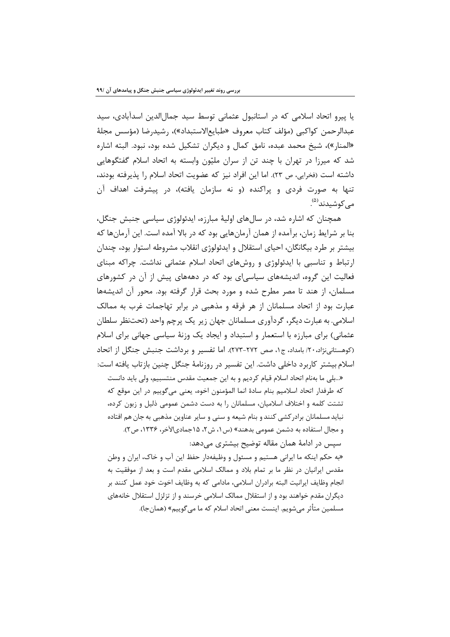یا پیرو اتحاد اسلامی که در استانبول عثمانی توسط سید جمال|لدین اسدآبادی، سید عبدالرحمن كواكبي (مؤلف كتاب معروف «طبايع|لاستبداد»)، رشيدرضا (مؤسس مجلة «المنار»)، شیخ محمد عبده، نامق کمال و دیگران تشکیل شده بود، نبود. البته اشاره شد که میرزا در تهران با چند تن از سران ملیّون وابسته به اتحاد اسلام گفتگوهایی داشته است (فخرايي، ص ٢٣). اما اين افراد نيز كه عضويت اتحاد اسلام را يذيرفته بودند، تنها به صورت فردی و پراکنده (و نه سازمان یافته)، در پیشرفت اهداف آن مے کوشیدند<sup>(۵)</sup>.

همچنان که اشاره شد، در سالهای اولیهٔ مبارزه، ایدئولوژی سیاسی جنبش جنگل، بنا بر شرایط زمان، برآمده از همان آرمانهایی بود که در بالا آمده است. این آرمانها که بيشتر بر طرد بيگانگان، احياي استقلال و ايدئولوژي انقلاب مشروطه استوار بود، چندان ارتباط و تناسبی با ایدئولوژی و روشهای اتحاد اسلام عثمانی نداشت. چراکه مبنای فعالیت این گروه، اندیشههای سیاسی|ی بود که در دهههای پیش از آن در کشورهای مسلمان، از هند تا مصر مطرح شده و مورد بحث قرار گرفته بود. محور آن اندیشهها عبارت بود از اتحاد مسلمانان از هر فرقه و مذهبی در برابر تهاجمات غرب به ممالک اسلامي. به عبارت ديگر، گردآوري مسلمانان جهان زير يک پرچم واحد (تحتنظر سلطان عثمانی) برای مبارزه با استعمار و استبداد و ایجاد یک وزنهٔ سیاسی جهانی برای اسلام (کوهستانینژاد،۲۰؍ بامداد، ج۱، صص ۲۷۲-۲۷۳). اما تفسیر و برداشت جنبش جنگل از اتحاد اسلام بیشتر کاربرد داخلی داشت. این تفسیر در روزنامهٔ جنگل چنین بازتاب یافته است:

«...بلي ما بهنام اتحاد اسلام قيام كرديم و به اين جمعيت مقدس منتسبيم، ولي بايد دانست كه طرفدار اتحاد اسلاميم بنام سادة انما المؤمنون اخوه، يعني مي گوييم در اين موقع كه تشتت کلمه و اختلاف اسلامیان، مسلمانان را به دست دشمن عمومی ذلیل و زبون کرده، نباید مسلمانان برادر کشی کنند و بنام شیعه و سنی و سایر عناوین مذهبی به جان هم افتاده و مجال استفاده به دشمن عمومي بدهند» (س ۱، ش۲، ۱۵جماديالآخر، ۱۳۳۶، ص۲).

سیس در ادامهٔ همان مقاله توضیح بیشتری می دهد:

«به حکم اینکه ما ایرانی هستیم و مسئول و وظیفهدار حفظ این آب و خاک، ایران و وطن مقدس ایرانیان در نظر ما بر تمام بلاد و ممالک اسلامی مقدم است و بعد از موفقیت به انجام وظايف ايرانيت البته برادران اسلامي، مادامي كه به وظايف اخوت خود عمل كنند بر دیگران مقدم خواهند بود و از استقلال ممالک اسلامی خرسند و از تزلزل استقلال خانههای مسلمين متأثر مي شويم. اينست معنى اتحاد اسلام كه ما مي گوييم» (همان جا).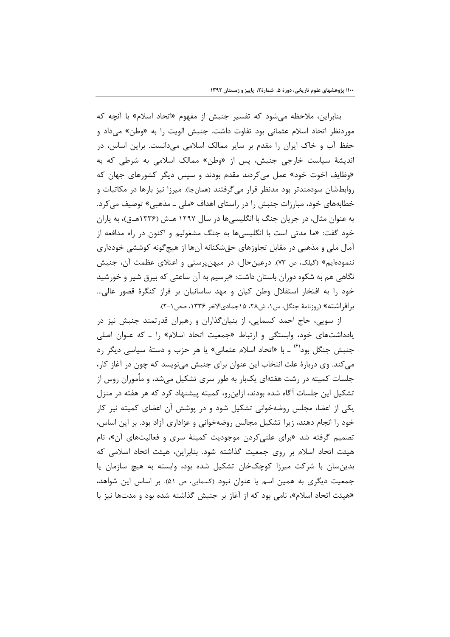بنابراین، ملاحظه می شود که تفسیر جنبش از مفهوم «اتحاد اسلام» با آنچه که موردنظر اتحاد اسلام عثماني بود تفاوت داشت. جنبش الويت را به «وطن» مي داد و حفظ آب و خاک ایران را مقدم بر سایر ممالک اسلامی میدانست. براین اساس، در اندیشهٔ سیاست خارجی جنبش، پس از «وطن» ممالک اسلامی به شرطی که به «وظایف اخوت خود» عمل می کردند مقدم بودند و سیس دیگر کشورهای جهان که روابطشان سودمندتر بود مدنظر قرار میگرفتند (همانجا). میرزا نیز بارها در مکاتبات و خطابههای خود، مبارزات جنبش را در راستای اهداف «ملی ـ مذهبی» توصیف می کرد. به عنوان مثال، در جریان جنگ با انگلیسی ها در سال ۱۲۹۷ هـش (۱۳۳۶هـق)، به پاران خود گفت: «ما مدتی است با انگلیسیها به جنگ مشغولیم و اکنون در راه مدافعه از آمال ملی و مذهبی در مقابل تجاوزهای حقشکنانه آنها از هیچگونه کوششی خودداری ننمودهایم» (گیلک، ص ۷۳). درعین حال، در میهن پرستی و اعتلای عظمت آن، جنبش نگاهی هم به شکوه دوران باستان داشت: «برسیم به آن ساعتی که بیرق شیر و خورشید خود را به افتخار استقلال وطن کیان و مهد ساسانیان بر فراز کنگرهٔ قصور عالی… برافراشته» (روزنامهٔ جنگل، س۱، ش۲۸، ۱۵جمادیالآخر ۱۳۳۶، صص۱-۲).

از سویی، حاج احمد کسمایی، از بنیانگذاران و رهبران قدرتمند جنبش نیز در یادداشتهای خود، وابستگی و ارتباط «جمعیت اتحاد اسلام» را ـ که عنوان اصلی جنبش جنگل بود<sup>(۶)</sup> ـ با «اتحاد اسلام عثمانی» یا هر حزب و دستهٔ سیاسی دیگر رد می کند. وی دربارهٔ علت انتخاب این عنوان برای جنبش می،نویسد که چون در آغاز کار، جلسات کمیته در رشت هفتهای یکبار به طور سری تشکیل می شد، و مأموران روس از تشکیل این جلسات آگاه شده بودند، ازاین٫و، کمیته پیشنهاد کرد که هر هفته در منزل یکی از اعضا، مجلس روضهخوانی تشکیل شود و در پوشش آن اعضای کمیته نیز کار خود را انجام دهند، زیرا تشکیل مجالس روضهخوانی و عزاداری آزاد بود. بر این اساس، تصمیم گرفته شد «برای علنیکردن موجودیت کمیتهٔ سری و فعالیتهای آن»، نام هیئت اتحاد اسلام بر روی جمعیت گذاشته شود. بنابراین، هیئت اتحاد اسلامی که بدینسان با شرکت میرزا کوچکخان تشکیل شده بود، وابسته به هیچ سازمان یا جمعیت دیگری به همین اسم یا عنوان نبود (کسمایی، ص ۵۱). بر اساس این شواهد، «هیئت اتحاد اسلام»، نامی بود که از آغاز بر جنبش گذاشته شده بود و مدتها نیز با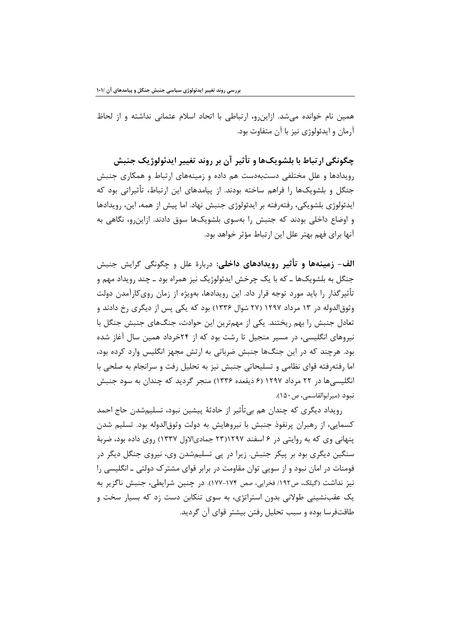همین نام خوانده میشد. ازاین و، ارتباطی با اتحاد اسلام عثمانی نداشته و از لحاظ آرمان و ايدئولوژي نيز با آن متفاوت بود.

چگونگي ارتباط با بلشويکها و تأثير آن بر روند تغيير ايدئولوژيک جنبش رویدادها و علل مختلفی دستبهدست هم داده و زمینههای ارتباط و همکاری جنبش جنگل و بلشویکها را فراهم ساخته بودند. از پیامدهای این ارتباط، تأثیراتی بود که ايدئولوژي بلشويكي، رفته فته بر ايدئولوژي جنبش نهاد. اما پيش از همه، اين، رويدادها و اوضاع داخلی بودند که جنبش را بهسوی بلشویکها سوق دادند. ازاین,و، نگاهی به آنها برای فهم بهتر علل این ارتباط مؤثر خواهد بود.

الف- زمينهها و تأثير رويدادهاي داخلي: دربارهٔ علل و چگونگي گرايش جنبش جنگل به بلشويکها ــ که با يک چرخش ايدئولوژيک نيز همراه بود ــ چند رويداد مهم و تأثیرگذار را باید مورد توجه قرار داد. این رویدادها، بهویژه از زمان رویکارآمدن دولت وثوق|لدوله در ۱۳ مرداد ۱۲۹۷ (۲۷ شوال ۱۳۳۶) بود که یکی پس از دیگری رخ دادند و تعادل جنبش را بهم ریختند. یکی از مهمترین این حوادث، جنگهای جنبش جنگل با نیروهای انگلیسی، در مسیر منجیل تا رشت بود که از ۲۴خرداد همین سال آغاز شده بود. هرچند که در این جنگها جنبش ضرباتی به ارتش مجهز انگلیس وارد کرده بود، اما رفته فته قواي نظامي و تسليحاتي جنبش نيز به تحليل رفت و سرانجام به صلحي با انگلیسی ها در ۲۲ مرداد ۱۲۹۷ (۶ ذیقعده ۱۳۳۶) منجر گردید که چندان به سود جنبش نبود (ميرابوالقاسمي، ص١۵٠).

رويداد ديگري كه چندان هم بي تأثير از حادثهٔ پيشين نبود، تسليمشدن حاج احمد کسمایی، از رهبران پرنفوذ جنبش با نیروهایش به دولت وثوق|لدوله بود. تسلیم شدن ینهانی وی که به روایتی در ۶ اسفند ۱۲۹۷(۲۳ جمادیالاول ۱۳۳۷) روی داده بود، ضربهٔ سنگین دیگری بود بر پیکر جنبش. زیرا در پی تسلیمشدن وی، نیروی جنگل دیگر در فومنات در امان نبود و از سویی توان مقاومت در برابر قوای مشترک دولتی ـ انگلیسی را نیز نداشت (گیلک، ص١٩٢/ فخرایی، صص ١٧٤-١٧٧). در چنین شرایطی، جنبش ناگزیر به یک عقبنشینی طولانی بدون استراتژی، به سوی تنکابن دست زد که بسیار سخت و طاقتفرسا بوده و سبب تحلیل رفتن بیشتر قوای آن گردید.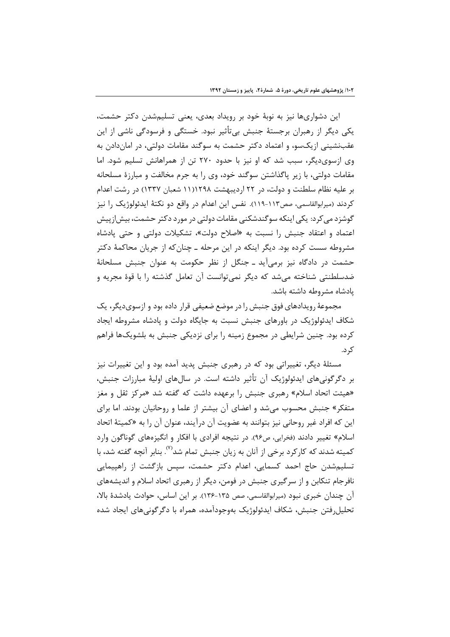این دشواریها نیز به نوبهٔ خود بر رویداد بعدی، یعنی تسلیم شدن دکتر حشمت، یکی دیگر از رهبران برجستهٔ جنبش بی تأثیر نبود. خستگی و فرسودگی ناشی از این عقبنشینی ازیکسو، و اعتماد دکتر حشمت به سوگند مقامات دولتی، در اماندادن به وی ازسوی دیگر، سبب شد که او نیز با حدود ۲۷۰ تن از همراهانش تسلیم شود. اما مقامات دولتی، با زیر پاگذاشتن سوگند خود، وی را به جرم مخالفت و مبارزهٔ مسلحانه بر علیه نظام سلطنت و دولت، در ۲۲ اردیبهشت ۱۱۱۲۹۸ شعبان ۱۳۳۷) در رشت اعدام کردند (میرابوالقاسمی، صص۱۱۳-۱۱۹). نفس این اعدام در واقع دو نکتهٔ ایدئولوژیک را نیز گوشزد می کرد: یکی اینکه سوگندشکنی مقامات دولتی در مورد دکتر حشمت، بیش|زییش اعتماد و اعتقاد جنبش را نسبت به «اصلاح دولت»، تشكيلات دولتي و حتى پادشاه مشروطه سست کرده بود. دیگر اینکه در این مرحله ــ چنان که از جریان محاکمهٔ دکتر حشمت در دادگاه نیز برمی آید ـ جنگل از نظر حکومت به عنوان جنبش مسلحانهٔ ضدسلطنتی شناخته می شد که دیگر نمی توانست آن تعامل گذشته را با قوهٔ مجریه و یادشاه مشروطه داشته باشد.

مجموعهٔ رویدادهای فوق جنبش را در موضع ضعیفی قرار داده بود و ازسویدیگر، یک شکاف ایدئولوژیک در باورهای جنبش نسبت به جایگاه دولت و یادشاه مشروطه ایجاد کرده بود. چنین شرایطی در مجموع زمینه را برای نزدیکی جنبش به بلشویکها فراهم کر د.

مسئلهٔ دیگر، تغییراتی بود که در رهبری جنبش پدید آمده بود و این تغییرات نیز بر دگرگونیهای ایدئولوژیک آن تأثیر داشته است. در سالِهای اولیهٔ مبارزات جنبش، «هیئت اتحاد اسلام» رهبری جنبش را برعهده داشت که گفته شد «مرکز ثقل و مغز متفکر» جنبش محسوب میشد و اعضای آن بیشتر از علما و روحانیان بودند. اما برای این که افراد غیر روحانی نیز بتوانند به عضویت آن درآیند، عنوان آن را به «کمیتهٔ اتحاد اسلام» تغییر دادند (فخرایی، ص۹۶). در نتیجه افرادی با افکار و انگیزههای گوناگون وارد کمیته شدند که کارکرد برخی از آنان به زیان جنبش تمام شد<sup>٬٬٬</sup>. بنابر آنچه گفته شد، با تسلیم شدن حاج احمد کسمایی، اعدام دکتر حشمت، سپس بازگشت از راهپیمایی نافرجام تنکابن و از سرگیری جنبش در فومن، دیگر از رهبری اتحاد اسلام و اندیشههای آن چندان خبری نبود (میرابوالقاسمی، صص ۱۳۵-۱۳۶). بر این اساس، حوادث یادشدهٔ بالا، تحليل فتن جنبش، شكاف ايدئولوژيک بهوجودآمده، همراه با دگر گوني هاي ايجاد شده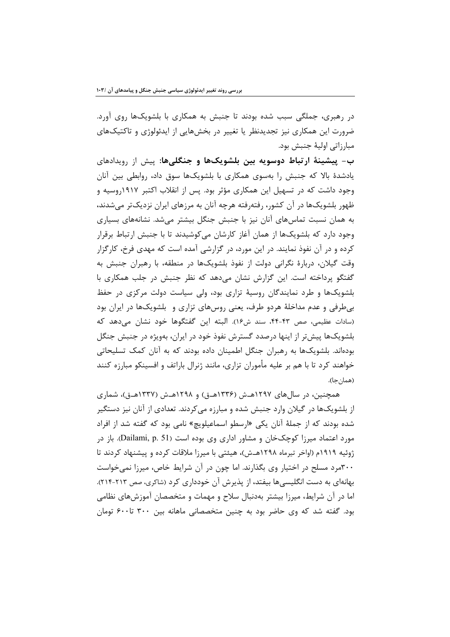در رهبری، جملگی سبب شده بودند تا جنبش به همکاری با بلشویکها روی آورد. ضرورت این همکاری نیز تجدیدنظر یا تغییر در بخشهایی از ایدئولوژی و تاکتیکهای مبارزاتي اوليۀ جنبش بود.

ب– پیشینهٔ ارتباط دوسویه بین بلشویکها و جنگلیها: پیش از رویدادهای یادشدهٔ بالا که جنبش را بهسوی همکاری با بلشویکها سوق داد، روابطی بین آنان وجود داشت که در تسهیل این همکاری مؤثر بود. پس از انقلاب اکتبر ۱۹۱۷روسیه و ظهور بلشویکها در آن کشور، رفتهرفته هرچه آنان به مرزهای ایران نزدیکتر میشدند، به همان نسبت تماسهای آنان نیز با جنبش جنگل بیشتر می شد. نشانههای بسیاری وجود دارد که بلشویکها از همان آغاز کارشان میکوشیدند تا با جنبش ارتباط برقرار کرده و در آن نفوذ نمایند. در این مورد، در گزارشی آمده است که مهدی فرخ، کارگزار وقت گیلان، دربارهٔ نگرانی دولت از نفوذ بلشویکها در منطقه، با رهبران جنبش به گفتگو پرداخته است. این گزارش نشان میدهد که نظر جنبش در جلب همکاری با بلشویکها و طرد نمایندگان روسیهٔ تزاری بود، ولی سیاست دولت مرکزی در حفظ بی طرفی و عدم مداخلهٔ هردو طرف، یعنی روسهای تزاری و بلشویکها در ایران بود (سادات عظیمی، صص ۴۳-۴۴، سند ش۱۶). البته این گفتگوها خود نشان میدهد که بلشویکها پیش تر از اینها درصدد گسترش نفوذ خود در ایران، بهویژه در جنبش جنگل بودهاند. بلشویکها به رهبران جنگل اطمینان داده بودند که به آنان کمک تسلیحاتی خواهند کرد تا با هم بر علیه مأموران تزاری، مانند ژنرال باراتف و افسینکو مبارزه کنند (همان جا).

همچنین، در سالهای ۱۲۹۷هـش (۱۳۳۶هـق) و ۱۲۹۸هـش (۱۳۳۷هـق)، شماری از بلشویکها در گیلان وارد جنبش شده و مبارزه می کردند. تعدادی از آنان نیز دستگیر شده بودند که از جملهٔ آنان یکی «ارسطو اسماعیلویچ» نامی بود که گفته شد از افراد مورد اعتماد میرزا کوچکخان و مشاور اداری وی بوده است (Dailami, p. 51). باز در ژوئیه ۱۹۱۹م (اواخر تیرماه ۱۲۹۸هـش)، هیئتی با میرزا ملاقات کرده و پیشنهاد کردند تا ۳۰۰مرد مسلح در اختیار وی بگذارند. اما چون در آن شرایط خاص، میرزا نمی خواست بهانهای به دست انگلیسیها بیفتد، از پذیرش آن خودداری کرد (شاکری، صص ۲۱۳-۲۱۴). اما در آن شرایط، میرزا بیشتر بهدنبال سلاح و مهمات و متخصصان آموزشهای نظامی بود. گفته شد که وی حاضر بود به چنین متخصصانی ماهانه بین ۳۰۰ تا۶۰۰ تومان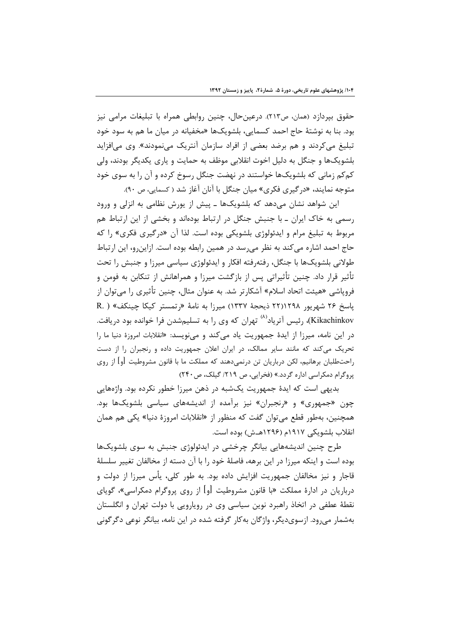حقوق بپردازد (همان، ص۲۱۳). درعینحال، چنین روابطی همراه با تبلیغات مرامی نیز بود. بنا به نوشتهٔ حاج احمد کسمایی، بلشویکها «مخفیانه در میان ما هم به سود خود تبلیغ میکردند و هم برضد بعضی از افراد سازمان آنتریک مینمودند». وی میافزاید بلشويکها و جنگل به دليل اخوت انقلابي موظف به حمايت و پاري يکديگر بودند، ولي کمکم زمانی که بلشویکها خواستند در نهضت جنگل رسوخ کرده و آن را به سوی خود متوجه نمایند، «در گیری فکری» میان جنگل با آنان آغاز شد ( کسمایی، ص ۹۰).

این شواهد نشان میدهد که بلشویکها ـ پیش از یورش نظامی به انزلی و ورود رسمی به خاک ایران ـ با جنبش جنگل در ارتباط بودهاند و بخشی از این ارتباط هم مربوط به تبلیغ مرام و ایدئولوژی بلشویکی بوده است. لذا آن «درگیری فکری» را که حاج احمد اشاره می کند به نظر می رسد در همین رابطه بوده است. ازاین و، این ارتباط طولانی بلشویکها با جنگل، رفتهرفته افکار و ایدئولوژی سیاسی میرزا و جنبش را تحت تأثیر قرار داد. چنین تأثیراتی پس از بازگشت میرزا و همراهانش از تنکابن به فومن و فروپاشی «هیئت اتحاد اسلام» آشکارتر شد. به عنوان مثال، چنین تأثیری را میتوان از پاسخ ۲۶ شهریور ۲۲۱۱۲۹۸ ذیحجهٔ ۱۳۳۷) میرزا به نامهٔ «رتمستر کیکا چینکف» ( .R Kikachinkov)، رئیس آتریاد<sup>(۸)</sup> تهران که وی را به تسلیمشدن فرا خوانده بود دریافت. در این نامه، میرزا از ایدهٔ جمهوریت یاد میکند و مینویسد: «انقلابات امروزهٔ دنیا ما را تحریک میکند که مانند سایر ممالک، در ایران اعلان جمهوریت داده و رنجبران را از دست راحتطلبان برهانیم، لکن درباریان تن درنمیدهند که مملکت ما با قانون مشروطیت اوا از روی پروگرام دمکراسی اداره گردد.» (فخرایی، ص ۲۱۹/ گیلک، ص۲۴۰)

بدیهی است که ایدهٔ جمهوریت یکشبه در ذهن میرزا خطور نکرده بود. واژههایی چون «جمهوری» و «رنجبران» نیز برآمده از اندیشههای سیاسی بلشویکها بود. همچنین، بهطور قطع می توان گفت که منظور از «انقلابات امروزهٔ دنیا» یکی هم همان انقلاب بلشویکی ۱۹۱۷م (۱۲۹۶هــش) بوده است.

طرح چنین اندیشههایی بیانگر چرخشی در ایدئولوژی جنبش به سوی بلشویکها بوده است و اینکه میرزا در این برهه، فاصلهٔ خود را با آن دسته از مخالفان تغییر سلسلهٔ قاجار و نيز مخالفان جمهوريت افزايش داده بود. به طور كلي، پأس ميرزا از دولت و درباریان در ادارهٔ مملکت «با قانون مشروطیت [و] از روی پروگرام دمکراسی»، گویای نقطهٔ عطفی در اتخاذ راهبرد نوین سیاسی وی در روپارویی با دولت تهران و انگلستان بهشمار می رود. ازسوی دیگر، واژگان به کار گرفته شده در این نامه، بیانگر نوعی دگر گونی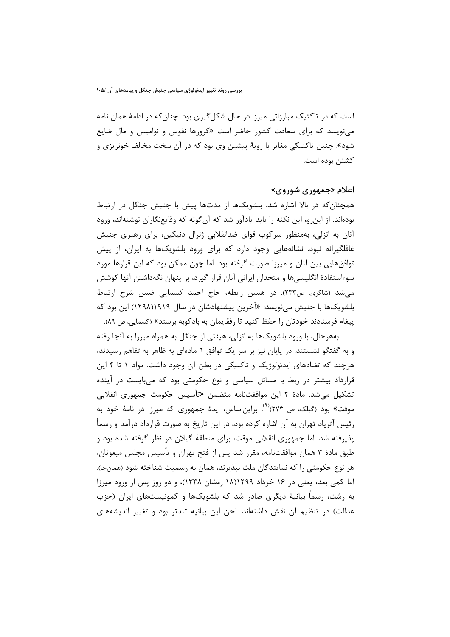است که در تاکتیک مبارزاتی میرزا در حال شکل گیری بود. چنان که در ادامهٔ همان نامه می;نویسد که برای سعادت کشور حاضر است «کرورها نفوس و نوامیس و مال ضایع شود». چنین تاکتیکی مغایر با رویهٔ پیشین وی بود که در آن سخت مخالف خونریزی و كشتن بوده است.

## اعلام «جمهوري شوروي»

همچنان که در بالا اشاره شد، بلشویکها از مدتها پیش با جنبش جنگل در ارتباط بودهاند. از این و، این نکته را باید یادآور شد که آن گونه که وقایعنگاران نوشتهاند، ورود آنان به انزلی، بهمنظور سرکوب قوای ضدانقلابی ژنرال دنیکین، برای رهبری جنبش غافلگیرانه نبود. نشانههایی وجود دارد که برای ورود بلشویکها به ایران، از پیش توافق هایی بین آنان و میرزا صورت گرفته بود. اما چون ممکن بود که این قرارها مورد سوءاستفادهٔ انگلیسیها و متحدان ایرانی آنان قرار گیرد، بر پنهان نگهداشتن آنها کوشش می شد (شاکری، ص۳۳۳). در همین رابطه، حاج احمد کسمایی ضمن شرح ارتباط بلشویکها با جنبش مینویسد: «آخرین پیشنهادشان در سال ۱۹۱۹(۱۲۹۸) این بود که پیغام فرستادند خودتان را حفظ کنید تا رفقایمان به بادکوبه برسند» (کسمایی، ص ۸۹).

بههرحال، با ورود بلشویکها به انزلی، هیئتی از جنگل به همراه میرزا به آنجا رفته و به گفتگو نشستند. در پایان نیز بر سر یک توافق ۹ مادهای به ظاهر به تفاهم رسیدند، هرچند که تضادهای ایدئولوژیک و تاکتیکی در بطن آن وجود داشت. مواد ۱ تا ۴ این قرارداد بیشتر در ربط با مسائل سیاسی و نوع حکومتی بود که میبایست در آینده تشکیل می,شد. مادهٔ ۲ این موافقتنامه متضمن «تأسیس حکومت جمهوری انقلابی موقت» بود (گیلک، ص ۲۷۳)<sup>۹۹)</sup>. براین|ساس، ایدهٔ جمهوری که میرزا در نامهٔ خود به رئیس آتریاد تهران به آن اشاره کرده بود، در این تاریخ به صورت قرارداد درآمد و رسماً پذیرفته شد. اما جمهوری انقلابی موقت، برای منطقهٔ گیلان در نظر گرفته شده بود و طبق مادهٔ ۳ همان موافقتنامه، مقرر شد پس از فتح تهران و تأسیس مجلس مبعوثان، هر نوع حکومتی را که نمایندگان ملت بیذیرند، همان به رسمیت شناخته شود (همانجا). اما کمی بعد، یعنی در ۱۶ خرداد ۱۲۹۹(۱۸ رمضان ۱۳۳۸)، و دو روز پس از ورود میرزا به رشت، رسماً بیانیهٔ دیگری صادر شد که بلشویکها و کمونیستهای ایران (حزب عدالت) در تنظیم آن نقش داشتهاند. لحن این بیانیه تندتر بود و تغییر اندیشههای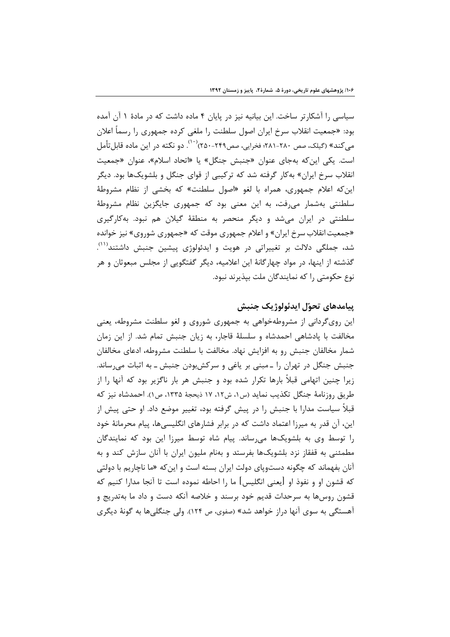سیاسی را آشکارتر ساخت. این بیانیه نیز در پایان ۴ ماده داشت که در مادهٔ ۱ آن آمده بود: «جمعیت انقلاب سرخ ایران اصول سلطنت را ملغی کرده جمهوری را رسماً اعلان می کند» (گیلک، صص ۲۸۰-۲۸۱؛ فخرایی، صص۲۴۹-۲۵۰)<sup>(۱۰)</sup>. دو نکته در این ماده قابل تأمل است. یکی این که بهجای عنوان «جنبش جنگل» یا «اتحاد اسلام»، عنوان «جمعیت انقلاب سرخ ایران» به کار گرفته شد که ترکیبی از قوای جنگل و بلشویکها بود. دیگر این که اعلام جمهوری، همراه با لغو «اصول سلطنت» که بخشی از نظام مشروطهٔ سلطنتی بهشمار می رفت، به این معنی بود که جمهوری جایگزین نظام مشروطهٔ سلطنتی در ایران می شد و دیگر منحصر به منطقهٔ گیلان هم نبود. بهکارگیری «جمعیت انقلاب سرخ ایران» و اعلام جمهوری موقت که «جمهوری شوروی» نیز خوانده شد، جملگی دلالت بر تغییراتی در هویت و ایدئولوژی پیشین جنبش داشتند<sup>(۱۱)</sup>. گذشته از اینها، در مواد چهارگانهٔ این اعلامیه، دیگر گفتگویی از مجلس مبعوثان و هر نوع حکومتی ,ا که نمایندگان ملت بیذیرند نبود.

## ييامدهاي تحوّل ايدئولوژيک جنبش

این رویگردانی از مشروطهخواهی به جمهوری شوروی و لغو سلطنت مشروطه، یعنی مخالفت با یادشاهی احمدشاه و سلسلهٔ قاجار، به زیان جنبش تمام شد. از این زمان شمار مخالفان جنبش رو به افزایش نهاد. مخالفت با سلطنت مشروطه، ادعای مخالفان جنبش جنگل در تهران را ـ مبنی بر یاغی و سرکشبودن جنبش ـ به اثبات می رساند. زیرا چنین اتهامی قبلاً بارها تکرار شده بود و جنبش هر بار ناگزیر بود که آنها را از طريق روزنامهٔ جنگل تكذيب نمايد (س١، ش١٢، ١٧ ذيحجهٔ ١٣٣۵، ص١). احمدشاه نيز كه قبلاً سیاست مدارا با جنبش را در پیش گرفته بود، تغییر موضع داد. او حتی پیش از این، آن قدر به میرزا اعتماد داشت که در برابر فشارهای انگلیسیها، پیام محرمانهٔ خود را توسط وی به بلشویکها می رساند. پیام شاه توسط میرزا این بود که نمایندگان مطمئنی به قفقاز نزد بلشویکها بفرستد و بهنام ملیون ایران با آنان سازش کند و به آنان بفهماند که چگونه دستویای دولت ایران بسته است و این *ک*ه «ما ناچاریم با دولتی که قشون او و نفوذ او [يعني انگليس] ما را احاطه نموده است تا آنجا مدارا کنيم که قشون روسها به سرحدات قدیم خود برسند و خلاصه آنکه دست و داد ما بهتدریج و آهستگی به سوی آنها دراز خواهد شد» (صفوی، ص ۱۲۴). ولی جنگلی ها به گونهٔ دیگری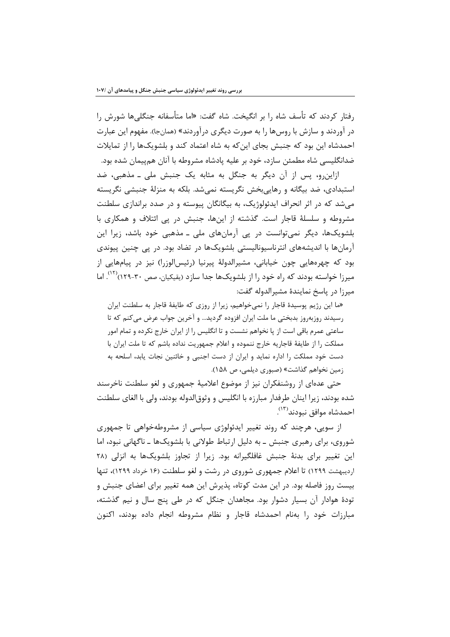رفتار کردند که تأسف شاه را بر انگیخت. شاه گفت: «اما متأسفانه جنگلی۵ها شورش را در آوردند و سازش با روسها را به صورت دیگری درآوردند» (همانجا). مفهوم این عبارت احمدشاه این بود که جنبش بجای این که به شاه اعتماد کند و بلشویکها را از تمایلات ضدانگلیسی شاه مطمئن سازد، خود بر علیه پادشاه مشروطه با آنان همپیمان شده بود.

ازاین و، پس از آن دیگر به جنگل به مثابه یک جنبش ملی ـ مذهبی، ضد استبدادی، ضد بیگانه و رهاییبخش نگریسته نمیشد. بلکه به منزلهٔ جنبشی نگریسته میشد که در اثر انحراف ایدئولوژیک، به بیگانگان پیوسته و در صدد براندازی سلطنت مشروطه و سلسلهٔ قاجار است. گذشته از اینها، جنبش در پی ائتلاف و همکاری با بلشویکها، دیگر نمیتوانست در پی آرمانهای ملی ـ مذهبی خود باشد، زیرا این آرمانها با اندیشههای انترناسیونالیستی بلشویکها در تضاد بود. در پی چنین پیوندی بود که چهرههایی چون خیابانی، مشیرالدولهٔ پیرنیا (رئیس|لوزرا) نیز در پیامهایی از میرزا خواسته بودند که راه خود را از بلشویکها جدا سازد (یقیکیان، صص ۳۰-۱۲۹)<sup>(۱۲)</sup>. اما ميرزا در پاسخ نمايندهٔ مشيرالدوله گفت:

«ما این رژیم پوسیدهٔ قاجار را نمیخواهیم، زیرا از روزی که طایفهٔ قاجار به سلطنت ایران رسیدند روزبهروز بدبختی ما ملت ایران افزوده گردید… و آخرین جواب عرض می کنم که تا ساعتی عمرم باقی است از پا نخواهم نشست و تا انگلیس را از ایران خارج نکرده و تمام امور مملكت را از طايفة قاجاريه خارج ننموده و اعلام جمهوريت نداده باشم كه تا ملت ايران با دست خود مملکت را اداره نماید و ایران از دست اجنبی و خائنین نجات یابد، اسلحه به زمین نخواهم گذاشت» (صبوری دیلمی، ص ۱۵۸).

حتی عدهای از روشنفکران نیز از موضوع اعلامیهٔ جمهوری و لغو سلطنت ناخرسند شده بودند، زيرا اينان طرفدار مبارزه با انگليس و وثوق|لدوله بودند، ولي با الغاي سلطنت احمدشاه موافق نبودند<sup>(١٣)</sup>.

از سویی، هرچند که روند تغییر ایدئولوژی سیاسی از مشروطهخواهی تا جمهوری شوروی، برای رهبری جنبش ـ به دلیل ارتباط طولانی با بلشویکها ـ ناگهانی نبود، اما این تغییر برای بدنهٔ جنبش غافلگیرانه بود. زیرا از تجاوز بلشویکها به انزلی (۲۸ اردیبهشت ۱۲۹۹) تا اعلام جمهوری شوروی در رشت و لغو سلطنت (۱۶ خرداد ۱۲۹۹)، تنها بیست روز فاصله بود. در این مدت کوتاه، پذیرش این همه تغییر برای اعضای جنبش و تودهٔ هوادار آن بسیار دشوار بود. مجاهدان جنگل که در طی پنج سال و نیم گذشته، مبارزات خود را بهنام احمدشاه قاجار و نظام مشروطه انجام داده بودند، اکنون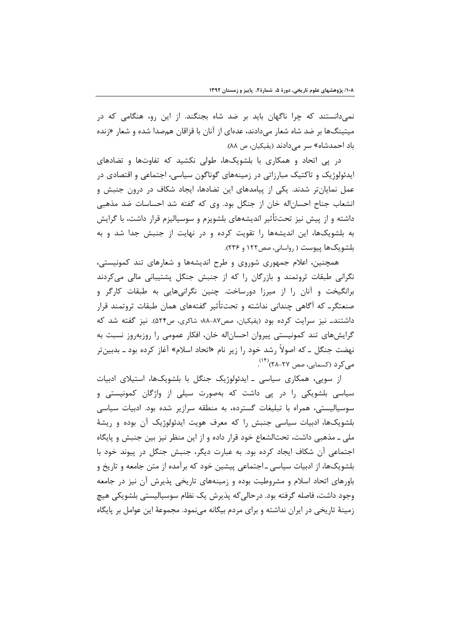نمیدانستند که چرا ناگهان باید بر ضد شاه بجنگند. از این رو، هنگامی که در میتینگها بر ضد شاه شعار میدادند، عدهای از آنان با قزاقان همصدا شده و شعار «زنده باد احمدشاه» سر می دادند (یقیکیان، ص ۸۸).

در پی اتحاد و همکاری با بلشویکها، طولی نکشید که تفاوتها و تضادهای ایدئولوژیک و تاکتیک مبارزاتی در زمینههای گوناگون سیاسی، اجتماعی و اقتصادی در عمل نمایانتر شدند. یکی از پیامدهای این تضادها، ایجاد شکاف در درون جنبش و انشعاب جناح احسان اله خان از جنگل بود. وی که گفته شد احساسات ضد مذهبی داشته و از پیش نیز تحتتأثیر اندیشههای بلشویزم و سوسیالیزم قرار داشت، با گرایش به بلشویکها، این اندیشهها را تقویت کرده و در نهایت از جنبش جدا شد و به بلشویکها پیوست ( رواسانی، صص ۱۲۲ و ۲۳۶).

همچنین، اعلام جمهوری شوروی و طرح اندیشهها و شعارهای تند کمونیستی، نگرانی طبقات ثروتمند و بازرگان را که از جنبش جنگل پشتیبانی مالی میکردند برانگیخت و آنان را از میرزا دورساخت. چنین نگرانیهایی به طبقات کارگر و صنعتگرـ که آگاهی چندانی نداشته و تحتتأثیر گفتههای همان طبقات ثروتمند قرار داشتند\_ نیز سرایت کرده بود (یقیکیان، صص۸۷-۸۸؛ شاکری، ص۵۲۴). نیز گفته شد که گرایشهای تند کمونیستی پیروان احساناله خان، افکار عمومی را روزبهروز نسبت به نهضت جنگل ــ که اصولاً رشد خود را زیر نام «اتحاد اسلام» آغاز کرده بود ــ بدبینتر مے کر د (کسمانی، صص ۲۷-۲۸)(۱۴).

از سویی، همکاری سیاسی ـ ایدئولوژیک جنگل با بلشویکها، استیلای ادبیات سیاسی بلشویکی را در پی داشت که بهصورت سیلی از واژگان کمونیستی و سوسیالیستی، همراه با تبلیغات گسترده، به منطقه سرازیر شده بود. ادبیات سیاسی بلشویکها، ادبیات سیاسی جنبش را که معرف هویت ایدئولوژیک آن بوده و ریشهٔ ملی ــ مذهبی داشت، تحتالشعاع خود قرار داده و از این منظر نیز بین جنبش و پایگاه اجتماعی آن شکاف ایجاد کرده بود. به عبارت دیگر، جنبش جنگل در پیوند خود با بلشویکها، از ادبیات سیاسی ـ اجتماعی پیشین خود که برآمده از متن جامعه و تاریخ و باورهای اتحاد اسلام و مشروطیت بوده و زمینههای تاریخی پذیرش آن نیز در جامعه وجود داشت، فاصله گرفته بود. درحالي كه پذيرش يک نظام سوسياليستي بلشويكي هيچ زمینهٔ تاریخی در ایران نداشته و برای مردم بیگانه می نمود. مجموعهٔ این عوامل بر پایگاه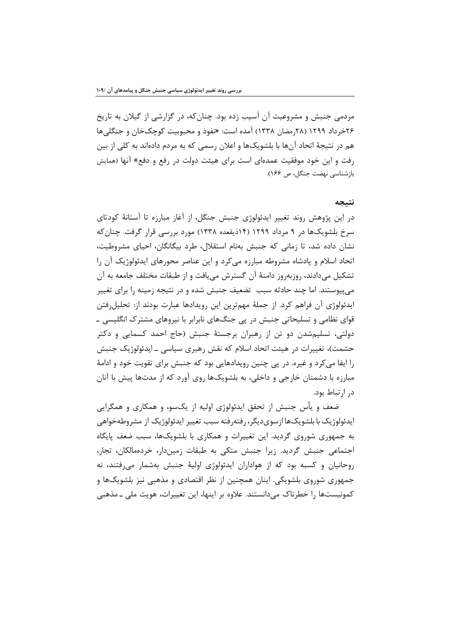مردمی جنبش و مشروعیت آن آسیب زده بود. چنان که، در گزارشی از گیلان به تاریخ ۲۶خرداد ۱۲۹۹ (۲۸رمضان ۱۳۳۸) آمده است: «نفوذ و محبوبیت کوچکخان و جنگلی ها هم در نتیجهٔ اتحاد آنها با بلشویکها و اعلان رسمی که به مردم دادهاند به کلی از بین رفت و این خود موفقیت عمدهای است برای هیئت دولت در رفع و دفع» آنها (همایش بازشناسی نهضت جنگل، ص ۱۶۶).

#### نتيجه

در این پژوهش روند تغییر ایدئولوژی جنبش جنگل، از آغاز مبارزه تا آستانهٔ کودتای سرخ بلشویکها در ۹ مرداد ۱۲۹۹ (۱۴ذیقعده ۱۳۳۸) مورد بررسی قرار گرفت. چنان که نشان داده شد، تا زمانی که جنبش بهنام استقلال، طرد بیگانگان، احیای مشروطیت، اتحاد اسلام و یادشاه مشروطه مبارزه می کرد و این عناصر محورهای ایدئولوژیک آن را تشکیل میدادند، روزبهروز دامنهٔ آن گسترش می یافت و از طبقات مختلف جامعه به آن میپیوستند. اما چند حادثه سبب تضعیف جنبش شده و در نتیجه زمینه را برای تغییر ايدئولوژي آن فراهم كرد. از جملهٔ مهمترين اين رويدادها عبارت بودند از: تحليلرفتن قوای نظامی و تسلیحاتی جنبش در پی جنگهای نابرابر با نیروهای مشترک انگلیسی ـ دولتی، تسلیمشدن دو تن از رهبران برجستهٔ جنبش (حاج احمد کسمایی و دکتر حشمت)، تغییرات در هیئت اتحاد اسلام که نقش رهبری سیاسی ـ ایدئولوژیک جنبش را ایفا می کرد و غیره. در یی چنین رویدادهایی بود که جنبش برای تقویت خود و ادامهٔ مبارزه با دشمنان خارجی و داخلی، به بلشویکها روی آورد که از مدتها پیش با آنان در ارتباط بود.

ضعف و پأس جنبش از تحقق ایدئولوژی اولیه از یکسو، و همکاری و همگرایی ایدئولوژیک با بلشویکها ازسویدیگر، رفتهرفته سبب تغییر ایدئولوژیک از مشروطهخواهی به جمهوری شوروی گردید. این تغییرات و همکاری با بلشویکها، سبب ضعف پایگاه اجتماعی جنبش گردید. زیرا جنبش متکی به طبقات زمیندار، خردهمالکان، تجار، روحانیان و کسبه بود که از هواداران ایدئولوژی اولیهٔ جنبش بهشمار میرفتند، نه جمهوری شوروی بلشویکی. اینان همچنین از نظر اقتصادی و مذهبی نیز بلشویکها و کمونیستها را خطرناک میدانستند. علاوه بر اینها، این تغییرات، هویت ملی ـ مذهبی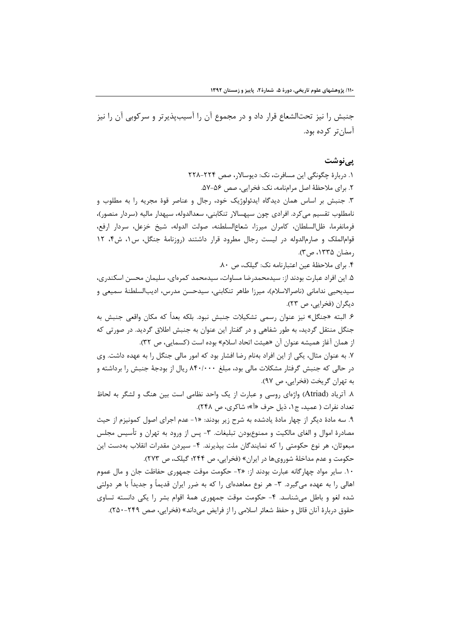جنبش را نیز تحتالشعاع قرار داد و در مجموع آن را آسیبپذیرتر و سرکوبی آن را نیز آسان تر کرده بود.

#### یے نوشت

١. دربارۂ چگونگی این مسافرت، نک: دیوسالار، صص ٢٢٤-٢٢٨ ٢. براي ملاحظهٔ اصل مرامنامه، نک: فخرايي، صص ۵۶-۵۷. ۳. جنبش بر اساس همان دیدگاه ایدئولوژیک خود، رجال و عناصر قوهٔ مجریه را به مطلوب و نامطلوب تقسیم می کرد. افرادی چون سپهسالار تنکابنی، سعدالدوله، سپهدار مالیه (سردار منصور)، فرمانفرما، ظل|لسلطان، كامران ميرزا، شعاع|لسلطنه، صولت الدوله، شيخ خزعل، سردار ارفع، قوام الملک و صارم الدوله در لیست رجال مطرود قرار داشتند (روزنامهٔ جنگل، س ۱، ش۴، ۱۲ رمضان ۱۳۳۵، ص۳). ۴. برای ملاحظهٔ عین اعتبارنامه نک: گیلک، ص ۸۰. ۵. این افراد عبارت بودند از: سیدمحمدرضا مساوات، سیدمحمد کمرهای، سلیمان محسن اسکندری، سيديحيي نداماني (ناصرالاسلام)، ميرزا طاهر تنكابني، سيدحسن مدرس، اديبالسلطنة سميعي و دیگران (فخرایی، ص ۲۳). ۶. البته «جنگل» نیز عنوان رسمی تشکیلات جنبش نبود. بلکه بعداً که مکان واقعی جنبش به جنگل منتقل گردید، به طور شفاهی و در گفتار این عنوان به جنبش اطلاق گردید. در صورتی که از همان آغاز هميشه عنوان آن «هيئت اتحاد اسلام» بوده است (كسمايي، ص ٣٢). ٧. به عنوان مثال، يكي از اين افراد بهنام رضا افشار بود كه امور مالي جنگل را به عهده داشت. وي در حالی که جنبش گرفتار مشکلات مالی بود، مبلغ ۸۴۰/۰۰۰ ریال از بودجهٔ جنبش را برداشته و به تهران گريخت (فخرايي، ص ٩٧). ۸. آتریاد (Atriad) واژهای روسی و عبارت از یک واحد نظامی است بین هنگ و لشگر به لحاظ تعداد نفرات ( عميد، ج١، ذيل حرف «آ»؛ شاكري، ص ٢۴٨). ۹. سه مادهٔ دیگر از چهار مادهٔ یادشده به شرح زیر بودند: «۱- عدم اجرای اصول کمونیزم از حیث مصادرهٔ اموال و الغای مالکیت و ممنوعبودن تبلیغات. ۳- پس از ورود به تهران و تأسیس مجلس مبعوثان، هر نوع حکومتی را که نمایندگان ملت بپذیرند. ۴- سپردن مقدرات انقلاب بهدست این حکومت و عدم مداخلهٔ شورویها در ایران» (فخرایی، ص ۲۴۴؛ گیلک، ص ۲۷۳). ۱۰. سایر مواد چهارگانه عبارت بودند از: «۲- حکومت موقت جمهوری حفاظت جان و مال عموم اهالی را به عهده می گیرد. ۳- هر نوع معاهدهای را که به ضرر ایران قدیماً و جدیداً با هر دولتی شده لغو و باطل میشناسد. ۴- حکومت موقت جمهوری همهٔ اقوام بشر را یکی دانسته تساوی حقوق دربارهٔ آنان قائل و حفظ شعائر اسلامی را از فرایض می داند» (فخرایی، صص ۲۴۹-۲۵۰).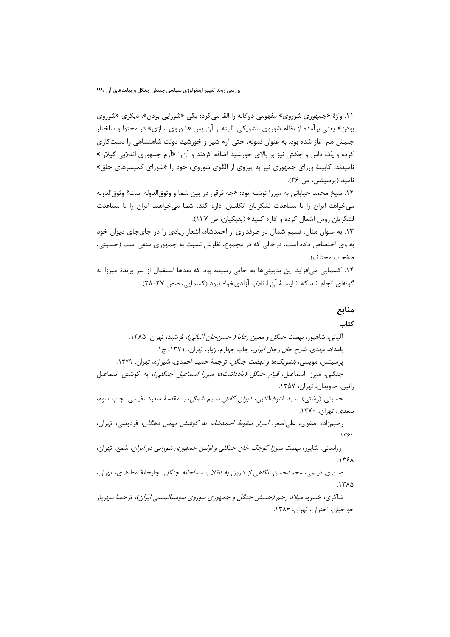۱۱. واژهٔ «جمهوری شوروی» مفهومی دوگانه را القا می کرد: یکی «شورایی بودن»، دیگری «شوروی بودن» یعنی برآمده از نظام شوروی بلشویکی. البته از آن پس «شوروی سازی» در محتوا و ساختار جنبش هم آغاز شده بود. به عنوان نمونه، حتى آرم شير و خورشيد دولت شاهنشاهي را دست كاري کرده و یک داس و چکش نیز بر بالای خورشید اضافه کردند و آن ا «آرم جمهوری انقلابی گیلان» نامیدند. کابینهٔ وزرای جمهوری نیز به پیروی از الگوی شوروی، خود را «شورای کمیسرهای خلق» ناميد (پرسېتس، ص ٣۶). ۱۲. شیخ محمد خیابانی به میرزا نوشته بود: «چه فرقی در بین شما و وثوق|لدوله است؟ وثوق|لدوله می خواهد ایران را با مساعدت لشگریان انگلیس اداره کند، شما می خواهید ایران را با مساعدت لشگریان روس اشغال کرده و اداره کنید» (یقیکیان، ص ۱۳۷). ۱۳. به عنوان مثال، نسیم شمال در طرفداری از احمدشاه، اشعار زیادی را در جای جای دیوان خود به وی اختصاص داده است، درحالی که در مجموع، نظرش نسبت به جمهوری منفی است (حسینی، صفحات مختلف). ۱۴. کسمایی می|فزاید این بدبینیها به جایی رسیده بود که بعدها استقبال از سر بریدهٔ میرزا به گونهای انجام شد که شایستهٔ آن انقلاب آزادیخواه نبود (کسمایی، صص ۲۷-۲۸).

## منابع كتاب

## آلياني، شاهيور، *نهضت جنگل و معين رعايا ( حسن خان آلياني )*، فرشيد، تهران، ١٣٨۵. بامداد، مهدی، *شرح حال رجال ایران*، چاپ چهارم، زوار، تهران، ۱۳۷۱، ج۱. پرسیتس، مویس*ی، بلشویکها و نهضت جنگل*، ترجمهٔ حمید احمدی، شیرازه، تهران، ۱۳۷۹. جنگلی، میرزا اسماعیل، *قیام جنگل (یادداشتها میرزا اسماعیل جنگلی)*، به کوشش اسماعیل رائين، جاويدان، تهران، ١٣۵٧. حسینی (رشتی)، سید اشرفالدین، *دیوان کامل نسیم شمال*، با مقدمهٔ سعید نفیسی، چاپ سوم، سعدي، تهران، ١٣٧٠. رحيمزاده صفوى، على اصغر، *اسرار سقوط احمدشاه، به كوشش بهمن دهگان*، فردوسى، تهران،  $.1757$ رواساني، شاپور، *نهضت ميرزا كوچک خان جنگلي و اولين جمهوري شورايي در ايران*، شمع، تهران، .1٣۶٨

صبوری دیلمی، محمدحسن، *نگاهی از درون به انقلاب مسلحانه جنگل*، چاپخانهٔ مظاهری، تهران،  $.1710$ 

شاکری، خسرو، *میلاد زخم (جنبش جنگل و جمهوری شوروی سوسیالیستی ایران)*، ترجمهٔ شهریار خواجيان، اختران، تهران، ١٣٨۶.